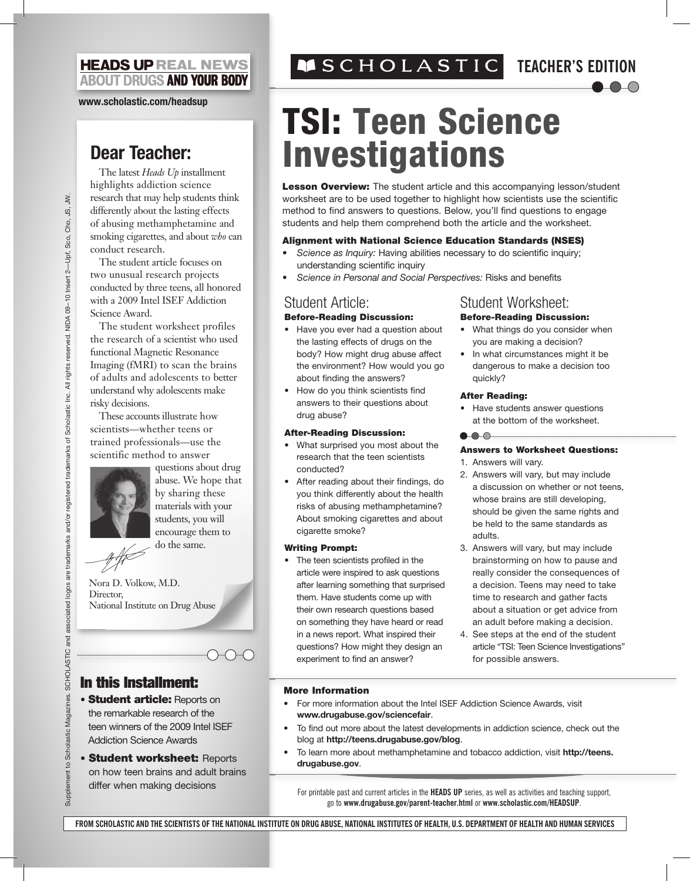## **HEADS UP REAL NEWS ABOUT DRUGS AND YOUR BODY**

**www.scholastic.com/headsup**

## **Dear Teacher:**

The latest *Heads Up* installment highlights addiction science research that may help students think differently about the lasting effects of abusing methamphetamine and smoking cigarettes, and about *who* can conduct research.

The student article focuses on two unusual research projects conducted by three teens, all honored with a 2009 Intel ISEF Addiction Science Award.

The student worksheet profiles the research of a scientist who used functional Magnetic Resonance Imaging (fMRI) to scan the brains of adults and adolescents to better understand why adolescents make risky decisions.

These accounts illustrate how scientists—whether teens or trained professionals—use the scientific method to answer



questions about drug abuse. We hope that by sharing these materials with your students, you will encourage them to  $\frac{1}{4\sqrt{1-\frac{1}{2}}}\,$  do the same.

 $\bigcirc\hspace{-0.75mm}-\hspace{-0.75mm}\bigcirc\hspace{-0.75mm}-\hspace{-0.75mm}\bigcirc$ 

Nora D. Volkow, M.D. Director, National Institute on Drug Abuse

## In this Installment:

- Student article: Reports on the remarkable research of the teen winners of the 2009 Intel ISEF Addiction Science Awards
- **Student worksheet: Reports** on how teen brains and adult brains differ when making decisions

## **TEACHER'S EDITION**

## TSI: Teen Science Investigations

Lesson Overview: The student article and this accompanying lesson/student worksheet are to be used together to highlight how scientists use the scientific method to find answers to questions. Below, you'll find questions to engage students and help them comprehend both the article and the worksheet.

## Alignment with National Science Education Standards (NSES)

- *Science as Inquiry:* Having abilities necessary to do scientific inquiry; understanding scientific inquiry
- *Science in Personal and Social Perspectives:* Risks and benefits

## Student Article:

### Before-Reading Discussion:

- Have you ever had a question about the lasting effects of drugs on the body? How might drug abuse affect the environment? How would you go about finding the answers?
- How do you think scientists find answers to their questions about drug abuse?

### After-Reading Discussion:

- What surprised you most about the research that the teen scientists conducted?
- After reading about their findings, do you think differently about the health risks of abusing methamphetamine? About smoking cigarettes and about cigarette smoke?

#### Writing Prompt:

The teen scientists profiled in the article were inspired to ask questions after learning something that surprised them. Have students come up with their own research questions based on something they have heard or read in a news report. What inspired their questions? How might they design an experiment to find an answer?

## Student Worksheet: Before-Reading Discussion:

## • What things do you consider when

- you are making a decision?
- In what circumstances might it be dangerous to make a decision too quickly?

#### After Reading:

- Have students answer questions at the bottom of the worksheet.
- $\bullet \bullet \bullet$

## Answers to Worksheet Questions:

- 1. Answers will vary.
- 2. Answers will vary, but may include a discussion on whether or not teens, whose brains are still developing, should be given the same rights and be held to the same standards as adults.
- 3. Answers will vary, but may include brainstorming on how to pause and really consider the consequences of a decision. Teens may need to take time to research and gather facts about a situation or get advice from an adult before making a decision.
- 4. See steps at the end of the student article "TSI: Teen Science Investigations" for possible answers.

## More Information

- For more information about the Intel ISEF Addiction Science Awards, visit **www.drugabuse.gov/sciencefair**.
- To find out more about the latest developments in addiction science, check out the blog at **http://teens.drugabuse.gov/blog**.
- To learn more about methamphetamine and tobacco addiction, visit **http://teens. drugabuse.gov**.

For printable past and current articles in the **HEADS UP** series, as well as activities and teaching support, go to **www.drugabuse.gov/parent-teacher.html** or **www.scholastic.com/HEADSUP**.

Scholastic Magazines.

Supplement to

—Upf, Sco, Cho, JS, JW.

 $\leq$ 

**FROM SCHOLASTIC AND THE SCIENTISTS OF THE NATIONAL INSTITUTE ON DRUG ABUSE, NATIONAL INSTITUTES OF HEALTH, U.S. DEPARTMENT OF HEALTH AND HUMAN SERVICES**